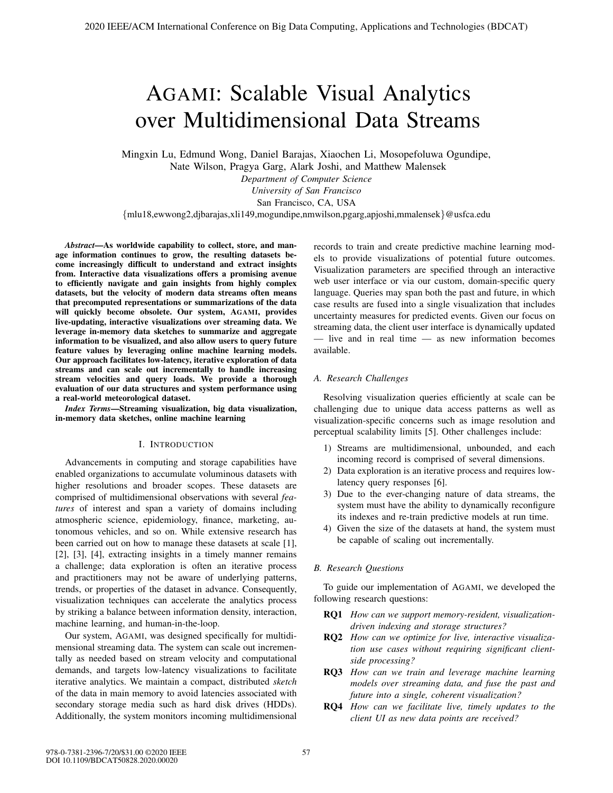# AGAMI: Scalable Visual Analytics over Multidimensional Data Streams

Mingxin Lu, Edmund Wong, Daniel Barajas, Xiaochen Li, Mosopefoluwa Ogundipe, Nate Wilson, Pragya Garg, Alark Joshi, and Matthew Malensek

*Department of Computer Science*

*University of San Francisco* San Francisco, CA, USA

{mlu18,ewwong2,djbarajas,xli149,mogundipe,nmwilson,pgarg,apjoshi,mmalensek}@usfca.edu

*Abstract*—As worldwide capability to collect, store, and manage information continues to grow, the resulting datasets become increasingly difficult to understand and extract insights from. Interactive data visualizations offers a promising avenue to efficiently navigate and gain insights from highly complex datasets, but the velocity of modern data streams often means that precomputed representations or summarizations of the data will quickly become obsolete. Our system, AGAMI, provides live-updating, interactive visualizations over streaming data. We leverage in-memory data sketches to summarize and aggregate information to be visualized, and also allow users to query future feature values by leveraging online machine learning models. Our approach facilitates low-latency, iterative exploration of data streams and can scale out incrementally to handle increasing stream velocities and query loads. We provide a thorough evaluation of our data structures and system performance using a real-world meteorological dataset.

*Index Terms*—Streaming visualization, big data visualization, in-memory data sketches, online machine learning

### I. INTRODUCTION

Advancements in computing and storage capabilities have enabled organizations to accumulate voluminous datasets with higher resolutions and broader scopes. These datasets are comprised of multidimensional observations with several *features* of interest and span a variety of domains including atmospheric science, epidemiology, finance, marketing, autonomous vehicles, and so on. While extensive research has been carried out on how to manage these datasets at scale [1], [2], [3], [4], extracting insights in a timely manner remains a challenge; data exploration is often an iterative process and practitioners may not be aware of underlying patterns, trends, or properties of the dataset in advance. Consequently, visualization techniques can accelerate the analytics process by striking a balance between information density, interaction, machine learning, and human-in-the-loop.

Our system, AGAMI, was designed specifically for multidimensional streaming data. The system can scale out incrementally as needed based on stream velocity and computational demands, and targets low-latency visualizations to facilitate iterative analytics. We maintain a compact, distributed *sketch* of the data in main memory to avoid latencies associated with secondary storage media such as hard disk drives (HDDs). Additionally, the system monitors incoming multidimensional records to train and create predictive machine learning models to provide visualizations of potential future outcomes. Visualization parameters are specified through an interactive web user interface or via our custom, domain-specific query language. Queries may span both the past and future, in which case results are fused into a single visualization that includes uncertainty measures for predicted events. Given our focus on streaming data, the client user interface is dynamically updated — live and in real time — as new information becomes available.

# *A. Research Challenges*

Resolving visualization queries efficiently at scale can be challenging due to unique data access patterns as well as visualization-specific concerns such as image resolution and perceptual scalability limits [5]. Other challenges include:

- 1) Streams are multidimensional, unbounded, and each incoming record is comprised of several dimensions.
- 2) Data exploration is an iterative process and requires lowlatency query responses [6].
- 3) Due to the ever-changing nature of data streams, the system must have the ability to dynamically reconfigure its indexes and re-train predictive models at run time.
- 4) Given the size of the datasets at hand, the system must be capable of scaling out incrementally.

# *B. Research Questions*

To guide our implementation of AGAMI, we developed the following research questions:

- RQ1 *How can we support memory-resident, visualizationdriven indexing and storage structures?*
- RQ2 *How can we optimize for live, interactive visualization use cases without requiring significant clientside processing?*
- RQ3 *How can we train and leverage machine learning models over streaming data, and fuse the past and future into a single, coherent visualization?*
- RQ4 *How can we facilitate live, timely updates to the client UI as new data points are received?*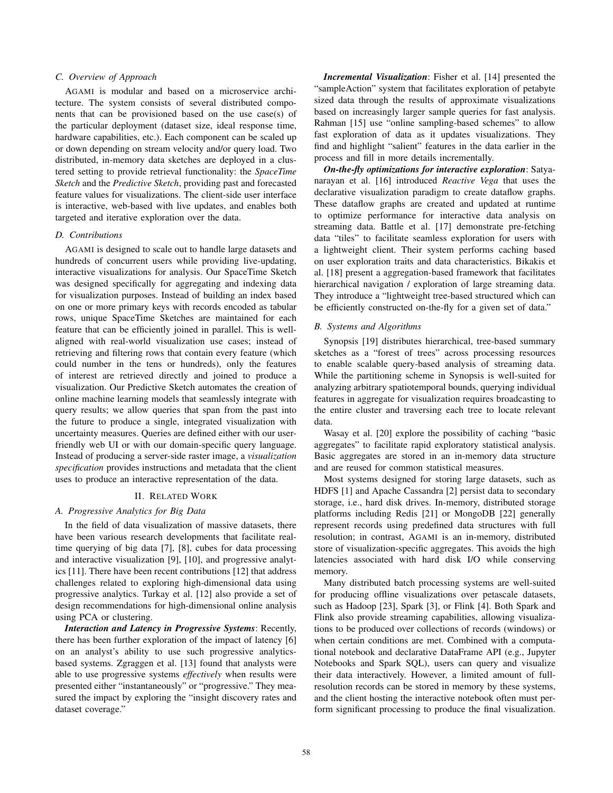# *C. Overview of Approach*

AGAMI is modular and based on a microservice architecture. The system consists of several distributed components that can be provisioned based on the use case(s) of the particular deployment (dataset size, ideal response time, hardware capabilities, etc.). Each component can be scaled up or down depending on stream velocity and/or query load. Two distributed, in-memory data sketches are deployed in a clustered setting to provide retrieval functionality: the *SpaceTime Sketch* and the *Predictive Sketch*, providing past and forecasted feature values for visualizations. The client-side user interface is interactive, web-based with live updates, and enables both targeted and iterative exploration over the data.

# *D. Contributions*

AGAMI is designed to scale out to handle large datasets and hundreds of concurrent users while providing live-updating, interactive visualizations for analysis. Our SpaceTime Sketch was designed specifically for aggregating and indexing data for visualization purposes. Instead of building an index based on one or more primary keys with records encoded as tabular rows, unique SpaceTime Sketches are maintained for each feature that can be efficiently joined in parallel. This is wellaligned with real-world visualization use cases; instead of retrieving and filtering rows that contain every feature (which could number in the tens or hundreds), only the features of interest are retrieved directly and joined to produce a visualization. Our Predictive Sketch automates the creation of online machine learning models that seamlessly integrate with query results; we allow queries that span from the past into the future to produce a single, integrated visualization with uncertainty measures. Queries are defined either with our userfriendly web UI or with our domain-specific query language. Instead of producing a server-side raster image, a *visualization specification* provides instructions and metadata that the client uses to produce an interactive representation of the data.

# II. RELATED WORK

# *A. Progressive Analytics for Big Data*

In the field of data visualization of massive datasets, there have been various research developments that facilitate realtime querying of big data [7], [8], cubes for data processing and interactive visualization [9], [10], and progressive analytics [11]. There have been recent contributions [12] that address challenges related to exploring high-dimensional data using progressive analytics. Turkay et al. [12] also provide a set of design recommendations for high-dimensional online analysis using PCA or clustering.

*Interaction and Latency in Progressive Systems*: Recently, there has been further exploration of the impact of latency [6] on an analyst's ability to use such progressive analyticsbased systems. Zgraggen et al. [13] found that analysts were able to use progressive systems *effectively* when results were presented either "instantaneously" or "progressive." They measured the impact by exploring the "insight discovery rates and dataset coverage."

*Incremental Visualization*: Fisher et al. [14] presented the "sampleAction" system that facilitates exploration of petabyte sized data through the results of approximate visualizations based on increasingly larger sample queries for fast analysis. Rahman [15] use "online sampling-based schemes" to allow fast exploration of data as it updates visualizations. They find and highlight "salient" features in the data earlier in the process and fill in more details incrementally.

*On-the-fly optimizations for interactive exploration*: Satyanarayan et al. [16] introduced *Reactive Vega* that uses the declarative visualization paradigm to create dataflow graphs. These dataflow graphs are created and updated at runtime to optimize performance for interactive data analysis on streaming data. Battle et al. [17] demonstrate pre-fetching data "tiles" to facilitate seamless exploration for users with a lightweight client. Their system performs caching based on user exploration traits and data characteristics. Bikakis et al. [18] present a aggregation-based framework that facilitates hierarchical navigation / exploration of large streaming data. They introduce a "lightweight tree-based structured which can be efficiently constructed on-the-fly for a given set of data."

# *B. Systems and Algorithms*

Synopsis [19] distributes hierarchical, tree-based summary sketches as a "forest of trees" across processing resources to enable scalable query-based analysis of streaming data. While the partitioning scheme in Synopsis is well-suited for analyzing arbitrary spatiotemporal bounds, querying individual features in aggregate for visualization requires broadcasting to the entire cluster and traversing each tree to locate relevant data.

Wasay et al. [20] explore the possibility of caching "basic aggregates" to facilitate rapid exploratory statistical analysis. Basic aggregates are stored in an in-memory data structure and are reused for common statistical measures.

Most systems designed for storing large datasets, such as HDFS [1] and Apache Cassandra [2] persist data to secondary storage, i.e., hard disk drives. In-memory, distributed storage platforms including Redis [21] or MongoDB [22] generally represent records using predefined data structures with full resolution; in contrast, AGAMI is an in-memory, distributed store of visualization-specific aggregates. This avoids the high latencies associated with hard disk I/O while conserving memory.

Many distributed batch processing systems are well-suited for producing offline visualizations over petascale datasets, such as Hadoop [23], Spark [3], or Flink [4]. Both Spark and Flink also provide streaming capabilities, allowing visualizations to be produced over collections of records (windows) or when certain conditions are met. Combined with a computational notebook and declarative DataFrame API (e.g., Jupyter Notebooks and Spark SQL), users can query and visualize their data interactively. However, a limited amount of fullresolution records can be stored in memory by these systems, and the client hosting the interactive notebook often must perform significant processing to produce the final visualization.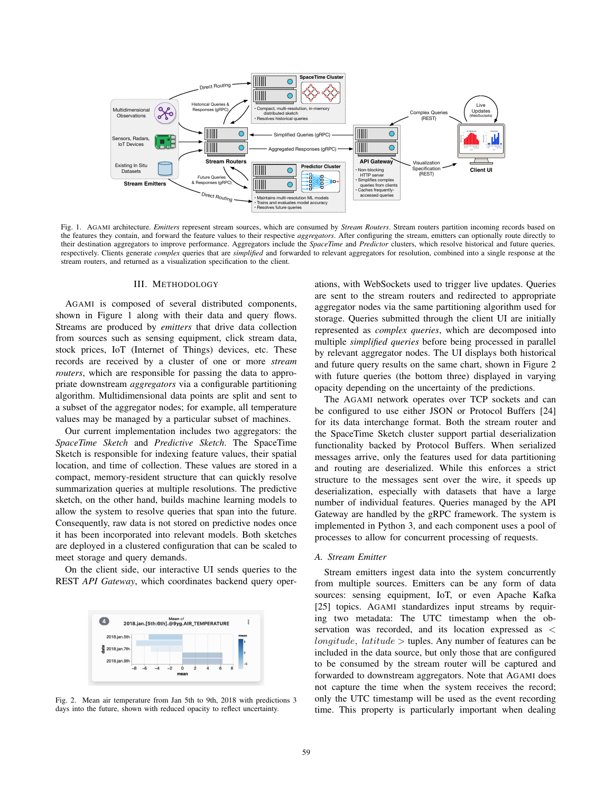

Fig. 1. AGAMI architecture. *Emitters* represent stream sources, which are consumed by *Stream Routers*. Stream routers partition incoming records based on the features they contain, and forward the feature values to their respective *aggregators*. After configuring the stream, emitters can optionally route directly to their destination aggregators to improve performance. Aggregators include the *SpaceTime* and *Predictor* clusters, which resolve historical and future queries, respectively. Clients generate *complex* queries that are *simplified* and forwarded to relevant aggregators for resolution, combined into a single response at the stream routers, and returned as a visualization specification to the client.

#### III. METHODOLOGY

AGAMI is composed of several distributed components, shown in Figure 1 along with their data and query flows. Streams are produced by *emitters* that drive data collection from sources such as sensing equipment, click stream data, stock prices, IoT (Internet of Things) devices, etc. These records are received by a cluster of one or more *stream routers*, which are responsible for passing the data to appropriate downstream *aggregators* via a configurable partitioning algorithm. Multidimensional data points are split and sent to a subset of the aggregator nodes; for example, all temperature values may be managed by a particular subset of machines.

Our current implementation includes two aggregators: the *SpaceTime Sketch* and *Predictive Sketch*. The SpaceTime Sketch is responsible for indexing feature values, their spatial location, and time of collection. These values are stored in a compact, memory-resident structure that can quickly resolve summarization queries at multiple resolutions. The predictive sketch, on the other hand, builds machine learning models to allow the system to resolve queries that span into the future. Consequently, raw data is not stored on predictive nodes once it has been incorporated into relevant models. Both sketches are deployed in a clustered configuration that can be scaled to meet storage and query demands.

On the client side, our interactive UI sends queries to the REST *API Gateway*, which coordinates backend query oper-



Fig. 2. Mean air temperature from Jan 5th to 9th, 2018 with predictions 3 days into the future, shown with reduced opacity to reflect uncertainty.

ations, with WebSockets used to trigger live updates. Queries are sent to the stream routers and redirected to appropriate aggregator nodes via the same partitioning algorithm used for storage. Queries submitted through the client UI are initially represented as *complex queries*, which are decomposed into multiple *simplified queries* before being processed in parallel by relevant aggregator nodes. The UI displays both historical and future query results on the same chart, shown in Figure 2 with future queries (the bottom three) displayed in varying opacity depending on the uncertainty of the predictions.

The AGAMI network operates over TCP sockets and can be configured to use either JSON or Protocol Buffers [24] for its data interchange format. Both the stream router and the SpaceTime Sketch cluster support partial deserialization functionality backed by Protocol Buffers. When serialized messages arrive, only the features used for data partitioning and routing are deserialized. While this enforces a strict structure to the messages sent over the wire, it speeds up deserialization, especially with datasets that have a large number of individual features. Queries managed by the API Gateway are handled by the gRPC framework. The system is implemented in Python 3, and each component uses a pool of processes to allow for concurrent processing of requests.

### *A. Stream Emitter*

Stream emitters ingest data into the system concurrently from multiple sources. Emitters can be any form of data sources: sensing equipment, IoT, or even Apache Kafka [25] topics. AGAMI standardizes input streams by requiring two metadata: The UTC timestamp when the observation was recorded, and its location expressed as *< longitude, latitude >* tuples. Any number of features can be included in the data source, but only those that are configured to be consumed by the stream router will be captured and forwarded to downstream aggregators. Note that AGAMI does not capture the time when the system receives the record; only the UTC timestamp will be used as the event recording time. This property is particularly important when dealing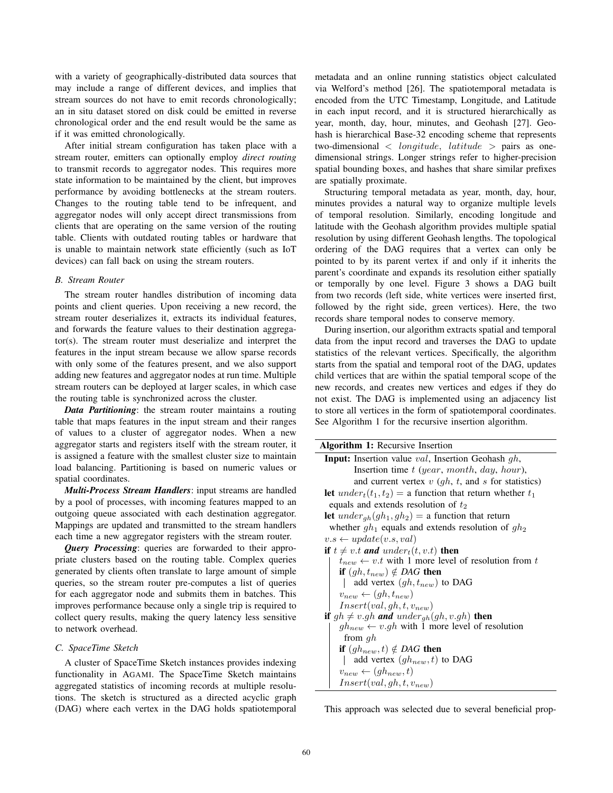with a variety of geographically-distributed data sources that may include a range of different devices, and implies that stream sources do not have to emit records chronologically; an in situ dataset stored on disk could be emitted in reverse chronological order and the end result would be the same as if it was emitted chronologically.

After initial stream configuration has taken place with a stream router, emitters can optionally employ *direct routing* to transmit records to aggregator nodes. This requires more state information to be maintained by the client, but improves performance by avoiding bottlenecks at the stream routers. Changes to the routing table tend to be infrequent, and aggregator nodes will only accept direct transmissions from clients that are operating on the same version of the routing table. Clients with outdated routing tables or hardware that is unable to maintain network state efficiently (such as IoT devices) can fall back on using the stream routers.

# *B. Stream Router*

The stream router handles distribution of incoming data points and client queries. Upon receiving a new record, the stream router deserializes it, extracts its individual features, and forwards the feature values to their destination aggregator(s). The stream router must deserialize and interpret the features in the input stream because we allow sparse records with only some of the features present, and we also support adding new features and aggregator nodes at run time. Multiple stream routers can be deployed at larger scales, in which case the routing table is synchronized across the cluster.

*Data Partitioning*: the stream router maintains a routing table that maps features in the input stream and their ranges of values to a cluster of aggregator nodes. When a new aggregator starts and registers itself with the stream router, it is assigned a feature with the smallest cluster size to maintain load balancing. Partitioning is based on numeric values or spatial coordinates.

*Multi-Process Stream Handlers*: input streams are handled by a pool of processes, with incoming features mapped to an outgoing queue associated with each destination aggregator. Mappings are updated and transmitted to the stream handlers each time a new aggregator registers with the stream router.

*Query Processing*: queries are forwarded to their appropriate clusters based on the routing table. Complex queries generated by clients often translate to large amount of simple queries, so the stream router pre-computes a list of queries for each aggregator node and submits them in batches. This improves performance because only a single trip is required to collect query results, making the query latency less sensitive to network overhead.

# *C. SpaceTime Sketch*

A cluster of SpaceTime Sketch instances provides indexing functionality in AGAMI. The SpaceTime Sketch maintains aggregated statistics of incoming records at multiple resolutions. The sketch is structured as a directed acyclic graph (DAG) where each vertex in the DAG holds spatiotemporal metadata and an online running statistics object calculated via Welford's method [26]. The spatiotemporal metadata is encoded from the UTC Timestamp, Longitude, and Latitude in each input record, and it is structured hierarchically as year, month, day, hour, minutes, and Geohash [27]. Geohash is hierarchical Base-32 encoding scheme that represents two-dimensional *< longitude, latitude >* pairs as onedimensional strings. Longer strings refer to higher-precision spatial bounding boxes, and hashes that share similar prefixes are spatially proximate.

Structuring temporal metadata as year, month, day, hour, minutes provides a natural way to organize multiple levels of temporal resolution. Similarly, encoding longitude and latitude with the Geohash algorithm provides multiple spatial resolution by using different Geohash lengths. The topological ordering of the DAG requires that a vertex can only be pointed to by its parent vertex if and only if it inherits the parent's coordinate and expands its resolution either spatially or temporally by one level. Figure 3 shows a DAG built from two records (left side, white vertices were inserted first, followed by the right side, green vertices). Here, the two records share temporal nodes to conserve memory.

During insertion, our algorithm extracts spatial and temporal data from the input record and traverses the DAG to update statistics of the relevant vertices. Specifically, the algorithm starts from the spatial and temporal root of the DAG, updates child vertices that are within the spatial temporal scope of the new records, and creates new vertices and edges if they do not exist. The DAG is implemented using an adjacency list to store all vertices in the form of spatiotemporal coordinates. See Algorithm 1 for the recursive insertion algorithm.

| <b>Algorithm 1:</b> Recursive Insertion                             |  |  |  |  |
|---------------------------------------------------------------------|--|--|--|--|
| <b>Input:</b> Insertion value <i>val</i> , Insertion Geohash $gh$ , |  |  |  |  |
| Insertion time $t$ (year, month, day, hour),                        |  |  |  |  |
| and current vertex $v$ (qh, t, and s for statistics)                |  |  |  |  |
| let $under_t(t_1, t_2) =$ a function that return whether $t_1$      |  |  |  |  |
| equals and extends resolution of $t_2$                              |  |  |  |  |
| <b>let</b> $under_{gh}(gh_1, gh_2) =$ a function that return        |  |  |  |  |
| whether $gh_1$ equals and extends resolution of $gh_2$              |  |  |  |  |
| $v.s \leftarrow update(v.s, val)$                                   |  |  |  |  |
| if $t \neq v.t$ and under <sub>t</sub> $(t, v.t)$ then              |  |  |  |  |
| $t_{new} \leftarrow v.t$ with 1 more level of resolution from t     |  |  |  |  |
| <b>if</b> $(gh, t_{new}) \notin DAG$ then                           |  |  |  |  |
| add vertex $(gh, t_{new})$ to DAG                                   |  |  |  |  |
| $v_{new} \leftarrow (qh, t_{new})$                                  |  |  |  |  |
| $Insert(val, gh, t, v_{new})$                                       |  |  |  |  |
| if $gh \neq v.gh$ and $under_{gh}(gh, v.gh)$ then                   |  |  |  |  |
| $gh_{new} \leftarrow v.gh$ with 1 more level of resolution          |  |  |  |  |
| from $qh$                                                           |  |  |  |  |
| <b>if</b> $(gh_{new}, t) \notin DAG$ then                           |  |  |  |  |
| add vertex $(gh_{new}, t)$ to DAG                                   |  |  |  |  |
| $v_{new} \leftarrow (gh_{new}, t)$                                  |  |  |  |  |
| $Insert(val,gh,t,v_{new})$                                          |  |  |  |  |

This approach was selected due to several beneficial prop-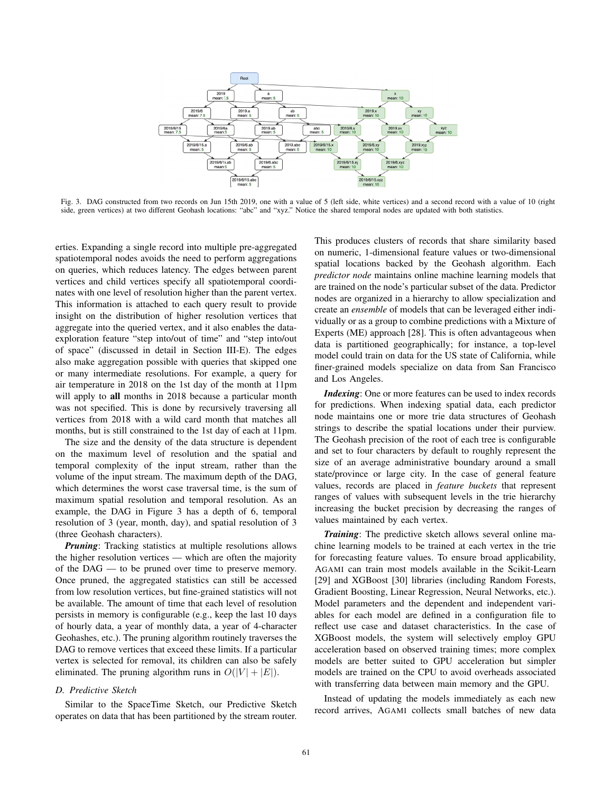

Fig. 3. DAG constructed from two records on Jun 15th 2019, one with a value of 5 (left side, white vertices) and a second record with a value of 10 (right side, green vertices) at two different Geohash locations: "abc" and "xyz." Notice the shared temporal nodes are updated with both statistics.

erties. Expanding a single record into multiple pre-aggregated spatiotemporal nodes avoids the need to perform aggregations on queries, which reduces latency. The edges between parent vertices and child vertices specify all spatiotemporal coordinates with one level of resolution higher than the parent vertex. This information is attached to each query result to provide insight on the distribution of higher resolution vertices that aggregate into the queried vertex, and it also enables the dataexploration feature "step into/out of time" and "step into/out of space" (discussed in detail in Section III-E). The edges also make aggregation possible with queries that skipped one or many intermediate resolutions. For example, a query for air temperature in 2018 on the 1st day of the month at 11pm will apply to all months in 2018 because a particular month was not specified. This is done by recursively traversing all vertices from 2018 with a wild card month that matches all months, but is still constrained to the 1st day of each at 11pm.

The size and the density of the data structure is dependent on the maximum level of resolution and the spatial and temporal complexity of the input stream, rather than the volume of the input stream. The maximum depth of the DAG, which determines the worst case traversal time, is the sum of maximum spatial resolution and temporal resolution. As an example, the DAG in Figure 3 has a depth of 6, temporal resolution of 3 (year, month, day), and spatial resolution of 3 (three Geohash characters).

*Pruning*: Tracking statistics at multiple resolutions allows the higher resolution vertices — which are often the majority of the DAG — to be pruned over time to preserve memory. Once pruned, the aggregated statistics can still be accessed from low resolution vertices, but fine-grained statistics will not be available. The amount of time that each level of resolution persists in memory is configurable (e.g., keep the last 10 days of hourly data, a year of monthly data, a year of 4-character Geohashes, etc.). The pruning algorithm routinely traverses the DAG to remove vertices that exceed these limits. If a particular vertex is selected for removal, its children can also be safely eliminated. The pruning algorithm runs in  $O(|V| + |E|)$ .

# *D. Predictive Sketch*

Similar to the SpaceTime Sketch, our Predictive Sketch operates on data that has been partitioned by the stream router.

This produces clusters of records that share similarity based on numeric, 1-dimensional feature values or two-dimensional spatial locations backed by the Geohash algorithm. Each *predictor node* maintains online machine learning models that are trained on the node's particular subset of the data. Predictor nodes are organized in a hierarchy to allow specialization and create an *ensemble* of models that can be leveraged either individually or as a group to combine predictions with a Mixture of Experts (ME) approach [28]. This is often advantageous when data is partitioned geographically; for instance, a top-level model could train on data for the US state of California, while finer-grained models specialize on data from San Francisco and Los Angeles.

*Indexing*: One or more features can be used to index records for predictions. When indexing spatial data, each predictor node maintains one or more trie data structures of Geohash strings to describe the spatial locations under their purview. The Geohash precision of the root of each tree is configurable and set to four characters by default to roughly represent the size of an average administrative boundary around a small state/province or large city. In the case of general feature values, records are placed in *feature buckets* that represent ranges of values with subsequent levels in the trie hierarchy increasing the bucket precision by decreasing the ranges of values maintained by each vertex.

*Training*: The predictive sketch allows several online machine learning models to be trained at each vertex in the trie for forecasting feature values. To ensure broad applicability, AGAMI can train most models available in the Scikit-Learn [29] and XGBoost [30] libraries (including Random Forests, Gradient Boosting, Linear Regression, Neural Networks, etc.). Model parameters and the dependent and independent variables for each model are defined in a configuration file to reflect use case and dataset characteristics. In the case of XGBoost models, the system will selectively employ GPU acceleration based on observed training times; more complex models are better suited to GPU acceleration but simpler models are trained on the CPU to avoid overheads associated with transferring data between main memory and the GPU.

Instead of updating the models immediately as each new record arrives, AGAMI collects small batches of new data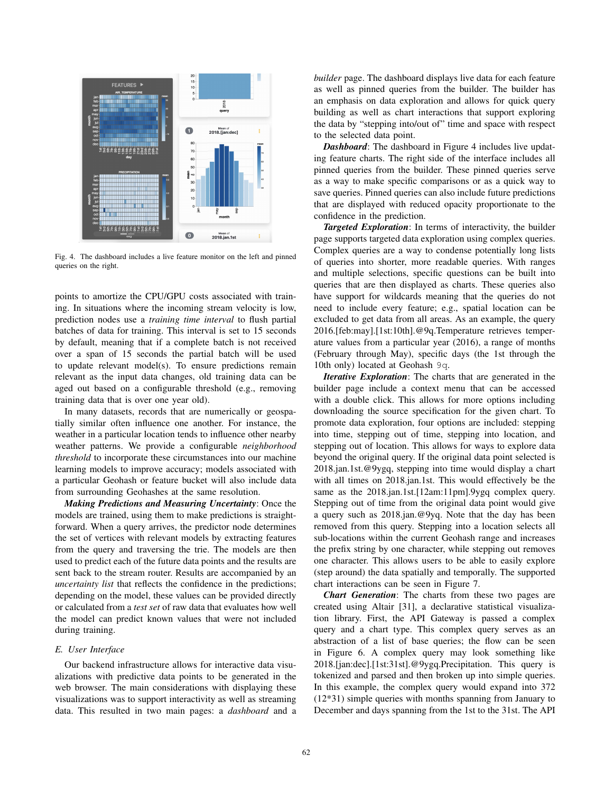

Fig. 4. The dashboard includes a live feature monitor on the left and pinned queries on the right.

points to amortize the CPU/GPU costs associated with training. In situations where the incoming stream velocity is low, prediction nodes use a *training time interval* to flush partial batches of data for training. This interval is set to 15 seconds by default, meaning that if a complete batch is not received over a span of 15 seconds the partial batch will be used to update relevant model(s). To ensure predictions remain relevant as the input data changes, old training data can be aged out based on a configurable threshold (e.g., removing training data that is over one year old).

In many datasets, records that are numerically or geospatially similar often influence one another. For instance, the weather in a particular location tends to influence other nearby weather patterns. We provide a configurable *neighborhood threshold* to incorporate these circumstances into our machine learning models to improve accuracy; models associated with a particular Geohash or feature bucket will also include data from surrounding Geohashes at the same resolution.

*Making Predictions and Measuring Uncertainty*: Once the models are trained, using them to make predictions is straightforward. When a query arrives, the predictor node determines the set of vertices with relevant models by extracting features from the query and traversing the trie. The models are then used to predict each of the future data points and the results are sent back to the stream router. Results are accompanied by an *uncertainty list* that reflects the confidence in the predictions; depending on the model, these values can be provided directly or calculated from a *test set* of raw data that evaluates how well the model can predict known values that were not included during training.

#### *E. User Interface*

Our backend infrastructure allows for interactive data visualizations with predictive data points to be generated in the web browser. The main considerations with displaying these visualizations was to support interactivity as well as streaming data. This resulted in two main pages: a *dashboard* and a *builder* page. The dashboard displays live data for each feature as well as pinned queries from the builder. The builder has an emphasis on data exploration and allows for quick query building as well as chart interactions that support exploring the data by "stepping into/out of" time and space with respect to the selected data point.

*Dashboard*: The dashboard in Figure 4 includes live updating feature charts. The right side of the interface includes all pinned queries from the builder. These pinned queries serve as a way to make specific comparisons or as a quick way to save queries. Pinned queries can also include future predictions that are displayed with reduced opacity proportionate to the confidence in the prediction.

*Targeted Exploration*: In terms of interactivity, the builder page supports targeted data exploration using complex queries. Complex queries are a way to condense potentially long lists of queries into shorter, more readable queries. With ranges and multiple selections, specific questions can be built into queries that are then displayed as charts. These queries also have support for wildcards meaning that the queries do not need to include every feature; e.g., spatial location can be excluded to get data from all areas. As an example, the query 2016.[feb:may].[1st:10th].@9q.Temperature retrieves temperature values from a particular year (2016), a range of months (February through May), specific days (the 1st through the 10th only) located at Geohash 9q.

*Iterative Exploration*: The charts that are generated in the builder page include a context menu that can be accessed with a double click. This allows for more options including downloading the source specification for the given chart. To promote data exploration, four options are included: stepping into time, stepping out of time, stepping into location, and stepping out of location. This allows for ways to explore data beyond the original query. If the original data point selected is 2018.jan.1st.@9ygq, stepping into time would display a chart with all times on 2018.jan.1st. This would effectively be the same as the 2018.jan.1st.[12am:11pm].9ygq complex query. Stepping out of time from the original data point would give a query such as 2018.jan.@9yq. Note that the day has been removed from this query. Stepping into a location selects all sub-locations within the current Geohash range and increases the prefix string by one character, while stepping out removes one character. This allows users to be able to easily explore (step around) the data spatially and temporally. The supported chart interactions can be seen in Figure 7.

*Chart Generation*: The charts from these two pages are created using Altair [31], a declarative statistical visualization library. First, the API Gateway is passed a complex query and a chart type. This complex query serves as an abstraction of a list of base queries; the flow can be seen in Figure 6. A complex query may look something like 2018.[jan:dec].[1st:31st].@9ygq.Precipitation. This query is tokenized and parsed and then broken up into simple queries. In this example, the complex query would expand into 372 (12\*31) simple queries with months spanning from January to December and days spanning from the 1st to the 31st. The API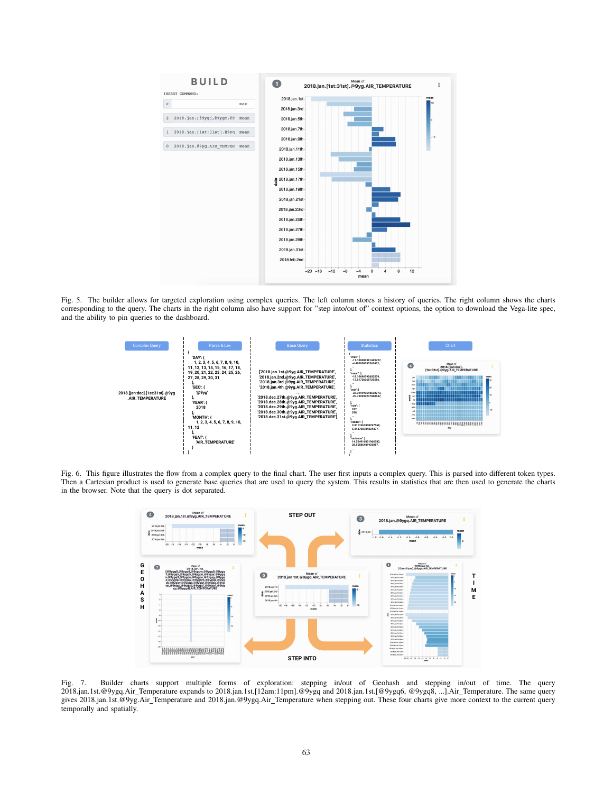

Fig. 5. The builder allows for targeted exploration using complex queries. The left column stores a history of queries. The right column shows the charts corresponding to the query. The charts in the right column also have support for "step into/out of" context options, the option to download the Vega-lite spec, and the ability to pin queries to the dashboard.



Fig. 6. This figure illustrates the flow from a complex query to the final chart. The user first inputs a complex query. This is parsed into different token types. Then a Cartesian product is used to generate base queries that are used to query the system. This results in statistics that are then used to generate the charts in the browser. Note that the query is dot separated.



Fig. 7. Builder charts support multiple forms of exploration: stepping in/out of Geohash and stepping in/out of time. The query 2018.jan.1st.@9ygq.Air Temperature expands to 2018.jan.1st.[12am:11pm].@9ygq and 2018.jan.1st.[@9ygq6, @9ygq8, ...].Air Temperature. The same query gives 2018.jan.1st.@9yg.Air Temperature and 2018.jan.@9ygq.Air Temperature when stepping out. These four charts give more context to the current query temporally and spatially.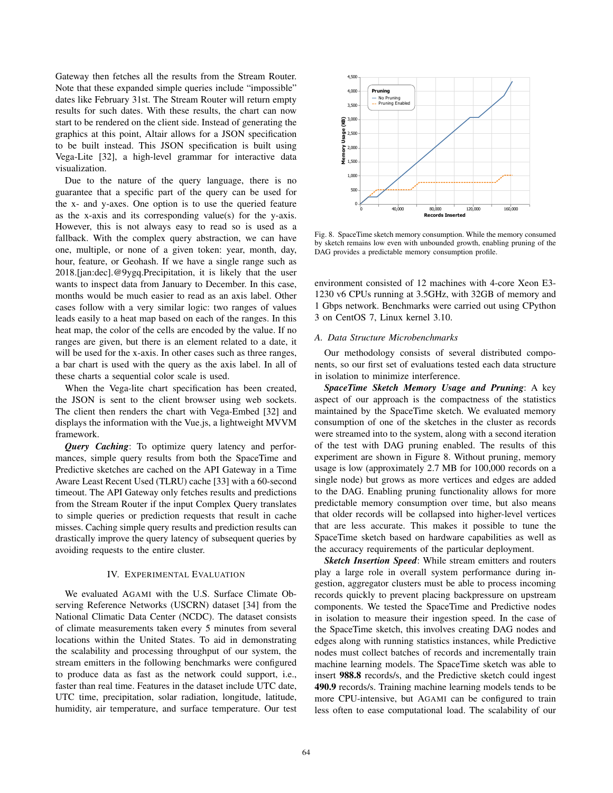Gateway then fetches all the results from the Stream Router. Note that these expanded simple queries include "impossible" dates like February 31st. The Stream Router will return empty results for such dates. With these results, the chart can now start to be rendered on the client side. Instead of generating the graphics at this point, Altair allows for a JSON specification to be built instead. This JSON specification is built using Vega-Lite [32], a high-level grammar for interactive data visualization.

Due to the nature of the query language, there is no guarantee that a specific part of the query can be used for the x- and y-axes. One option is to use the queried feature as the x-axis and its corresponding value(s) for the y-axis. However, this is not always easy to read so is used as a fallback. With the complex query abstraction, we can have one, multiple, or none of a given token: year, month, day, hour, feature, or Geohash. If we have a single range such as 2018.[jan:dec].@9ygq.Precipitation, it is likely that the user wants to inspect data from January to December. In this case, months would be much easier to read as an axis label. Other cases follow with a very similar logic: two ranges of values leads easily to a heat map based on each of the ranges. In this heat map, the color of the cells are encoded by the value. If no ranges are given, but there is an element related to a date, it will be used for the x-axis. In other cases such as three ranges, a bar chart is used with the query as the axis label. In all of these charts a sequential color scale is used.

When the Vega-lite chart specification has been created, the JSON is sent to the client browser using web sockets. The client then renders the chart with Vega-Embed [32] and displays the information with the Vue.js, a lightweight MVVM framework.

*Query Caching*: To optimize query latency and performances, simple query results from both the SpaceTime and Predictive sketches are cached on the API Gateway in a Time Aware Least Recent Used (TLRU) cache [33] with a 60-second timeout. The API Gateway only fetches results and predictions from the Stream Router if the input Complex Query translates to simple queries or prediction requests that result in cache misses. Caching simple query results and prediction results can drastically improve the query latency of subsequent queries by avoiding requests to the entire cluster.

#### IV. EXPERIMENTAL EVALUATION

We evaluated AGAMI with the U.S. Surface Climate Observing Reference Networks (USCRN) dataset [34] from the National Climatic Data Center (NCDC). The dataset consists of climate measurements taken every 5 minutes from several locations within the United States. To aid in demonstrating the scalability and processing throughput of our system, the stream emitters in the following benchmarks were configured to produce data as fast as the network could support, i.e., faster than real time. Features in the dataset include UTC date, UTC time, precipitation, solar radiation, longitude, latitude, humidity, air temperature, and surface temperature. Our test



Fig. 8. SpaceTime sketch memory consumption. While the memory consumed by sketch remains low even with unbounded growth, enabling pruning of the DAG provides a predictable memory consumption profile.

environment consisted of 12 machines with 4-core Xeon E3- 1230 v6 CPUs running at 3.5GHz, with 32GB of memory and 1 Gbps network. Benchmarks were carried out using CPython 3 on CentOS 7, Linux kernel 3.10.

#### *A. Data Structure Microbenchmarks*

Our methodology consists of several distributed components, so our first set of evaluations tested each data structure in isolation to minimize interference.

*SpaceTime Sketch Memory Usage and Pruning*: A key aspect of our approach is the compactness of the statistics maintained by the SpaceTime sketch. We evaluated memory consumption of one of the sketches in the cluster as records were streamed into to the system, along with a second iteration of the test with DAG pruning enabled. The results of this experiment are shown in Figure 8. Without pruning, memory usage is low (approximately 2.7 MB for 100,000 records on a single node) but grows as more vertices and edges are added to the DAG. Enabling pruning functionality allows for more predictable memory consumption over time, but also means that older records will be collapsed into higher-level vertices that are less accurate. This makes it possible to tune the SpaceTime sketch based on hardware capabilities as well as the accuracy requirements of the particular deployment.

*Sketch Insertion Speed*: While stream emitters and routers play a large role in overall system performance during ingestion, aggregator clusters must be able to process incoming records quickly to prevent placing backpressure on upstream components. We tested the SpaceTime and Predictive nodes in isolation to measure their ingestion speed. In the case of the SpaceTime sketch, this involves creating DAG nodes and edges along with running statistics instances, while Predictive nodes must collect batches of records and incrementally train machine learning models. The SpaceTime sketch was able to insert 988.8 records/s, and the Predictive sketch could ingest 490.9 records/s. Training machine learning models tends to be more CPU-intensive, but AGAMI can be configured to train less often to ease computational load. The scalability of our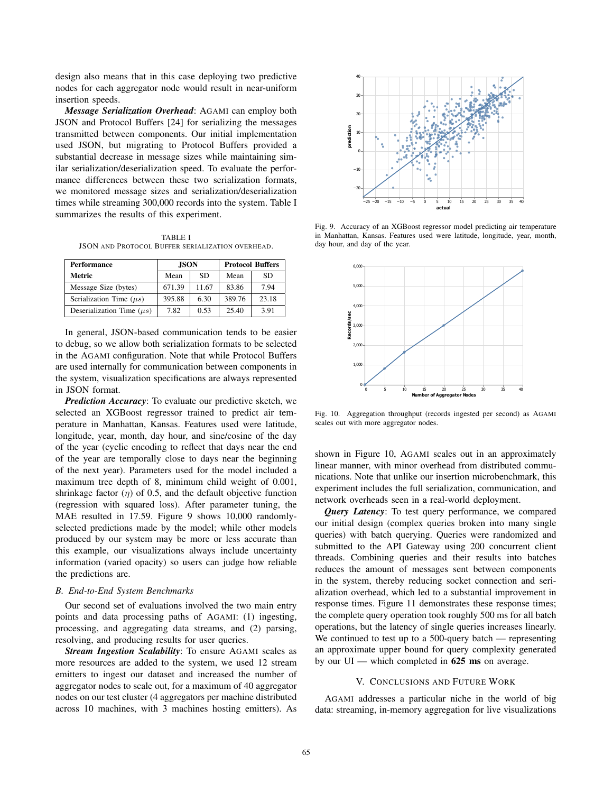design also means that in this case deploying two predictive nodes for each aggregator node would result in near-uniform insertion speeds.

*Message Serialization Overhead*: AGAMI can employ both JSON and Protocol Buffers [24] for serializing the messages transmitted between components. Our initial implementation used JSON, but migrating to Protocol Buffers provided a substantial decrease in message sizes while maintaining similar serialization/deserialization speed. To evaluate the performance differences between these two serialization formats, we monitored message sizes and serialization/deserialization times while streaming 300,000 records into the system. Table I summarizes the results of this experiment.

TABLE I JSON AND PROTOCOL BUFFER SERIALIZATION OVERHEAD.

| Performance                    | <b>JSON</b> |           | <b>Protocol Buffers</b> |       |
|--------------------------------|-------------|-----------|-------------------------|-------|
| Metric                         | Mean        | <b>SD</b> | Mean                    | SD.   |
| Message Size (bytes)           | 671.39      | 11.67     | 83.86                   | 7.94  |
| Serialization Time $(\mu s)$   | 395.88      | 6.30      | 389.76                  | 23.18 |
| Deserialization Time $(\mu s)$ | 782         | 0.53      | 25.40                   | 3.91  |

In general, JSON-based communication tends to be easier to debug, so we allow both serialization formats to be selected in the AGAMI configuration. Note that while Protocol Buffers are used internally for communication between components in the system, visualization specifications are always represented in JSON format.

*Prediction Accuracy*: To evaluate our predictive sketch, we selected an XGBoost regressor trained to predict air temperature in Manhattan, Kansas. Features used were latitude, longitude, year, month, day hour, and sine/cosine of the day of the year (cyclic encoding to reflect that days near the end of the year are temporally close to days near the beginning of the next year). Parameters used for the model included a maximum tree depth of 8, minimum child weight of 0.001, shrinkage factor  $(\eta)$  of 0.5, and the default objective function (regression with squared loss). After parameter tuning, the MAE resulted in 17.59. Figure 9 shows 10,000 randomlyselected predictions made by the model; while other models produced by our system may be more or less accurate than this example, our visualizations always include uncertainty information (varied opacity) so users can judge how reliable the predictions are.

# *B. End-to-End System Benchmarks*

Our second set of evaluations involved the two main entry points and data processing paths of AGAMI: (1) ingesting, processing, and aggregating data streams, and (2) parsing, resolving, and producing results for user queries.

*Stream Ingestion Scalability*: To ensure AGAMI scales as more resources are added to the system, we used 12 stream emitters to ingest our dataset and increased the number of aggregator nodes to scale out, for a maximum of 40 aggregator nodes on our test cluster (4 aggregators per machine distributed across 10 machines, with 3 machines hosting emitters). As



Fig. 9. Accuracy of an XGBoost regressor model predicting air temperature in Manhattan, Kansas. Features used were latitude, longitude, year, month, day hour, and day of the year.



Fig. 10. Aggregation throughput (records ingested per second) as AGAMI scales out with more aggregator nodes.

shown in Figure 10, AGAMI scales out in an approximately linear manner, with minor overhead from distributed communications. Note that unlike our insertion microbenchmark, this experiment includes the full serialization, communication, and network overheads seen in a real-world deployment.

*Query Latency*: To test query performance, we compared our initial design (complex queries broken into many single queries) with batch querying. Queries were randomized and submitted to the API Gateway using 200 concurrent client threads. Combining queries and their results into batches reduces the amount of messages sent between components in the system, thereby reducing socket connection and serialization overhead, which led to a substantial improvement in response times. Figure 11 demonstrates these response times; the complete query operation took roughly 500 ms for all batch operations, but the latency of single queries increases linearly. We continued to test up to a 500-query batch — representing an approximate upper bound for query complexity generated by our  $UI$  — which completed in 625 ms on average.

### V. CONCLUSIONS AND FUTURE WORK

AGAMI addresses a particular niche in the world of big data: streaming, in-memory aggregation for live visualizations